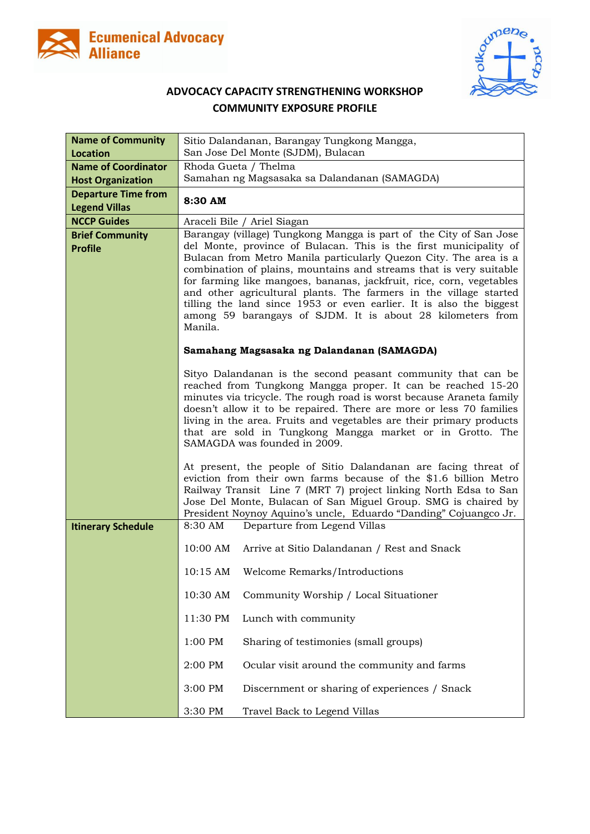



## **ADVOCACY CAPACITY STRENGTHENING WORKSHOP COMMUNITY EXPOSURE PROFILE**

| <b>Name of Community</b>                 | Sitio Dalandanan, Barangay Tungkong Mangga,                                                                                                                                                                                                                                                                                                                                                                                                                                                                                                                                     |
|------------------------------------------|---------------------------------------------------------------------------------------------------------------------------------------------------------------------------------------------------------------------------------------------------------------------------------------------------------------------------------------------------------------------------------------------------------------------------------------------------------------------------------------------------------------------------------------------------------------------------------|
| <b>Location</b>                          | San Jose Del Monte (SJDM), Bulacan                                                                                                                                                                                                                                                                                                                                                                                                                                                                                                                                              |
| <b>Name of Coordinator</b>               | Rhoda Gueta / Thelma                                                                                                                                                                                                                                                                                                                                                                                                                                                                                                                                                            |
| <b>Host Organization</b>                 | Samahan ng Magsasaka sa Dalandanan (SAMAGDA)                                                                                                                                                                                                                                                                                                                                                                                                                                                                                                                                    |
| <b>Departure Time from</b>               | 8:30 AM                                                                                                                                                                                                                                                                                                                                                                                                                                                                                                                                                                         |
| <b>Legend Villas</b>                     |                                                                                                                                                                                                                                                                                                                                                                                                                                                                                                                                                                                 |
| <b>NCCP Guides</b>                       | Araceli Bile / Ariel Siagan                                                                                                                                                                                                                                                                                                                                                                                                                                                                                                                                                     |
| <b>Brief Community</b><br><b>Profile</b> | Barangay (village) Tungkong Mangga is part of the City of San Jose<br>del Monte, province of Bulacan. This is the first municipality of<br>Bulacan from Metro Manila particularly Quezon City. The area is a<br>combination of plains, mountains and streams that is very suitable<br>for farming like mangoes, bananas, jackfruit, rice, corn, vegetables<br>and other agricultural plants. The farmers in the village started<br>tilling the land since 1953 or even earlier. It is also the biggest<br>among 59 barangays of SJDM. It is about 28 kilometers from<br>Manila. |
|                                          | Samahang Magsasaka ng Dalandanan (SAMAGDA)                                                                                                                                                                                                                                                                                                                                                                                                                                                                                                                                      |
|                                          | Sityo Dalandanan is the second peasant community that can be<br>reached from Tungkong Mangga proper. It can be reached 15-20<br>minutes via tricycle. The rough road is worst because Araneta family<br>doesn't allow it to be repaired. There are more or less 70 families<br>living in the area. Fruits and vegetables are their primary products<br>that are sold in Tungkong Mangga market or in Grotto. The<br>SAMAGDA was founded in 2009.                                                                                                                                |
|                                          | At present, the people of Sitio Dalandanan are facing threat of<br>eviction from their own farms because of the \$1.6 billion Metro<br>Railway Transit Line 7 (MRT 7) project linking North Edsa to San<br>Jose Del Monte, Bulacan of San Miguel Group. SMG is chaired by<br>President Noynoy Aquino's uncle, Eduardo "Danding" Cojuangco Jr.                                                                                                                                                                                                                                   |
| <b>Itinerary Schedule</b>                | 8:30 AM<br>Departure from Legend Villas                                                                                                                                                                                                                                                                                                                                                                                                                                                                                                                                         |
|                                          | 10:00 AM<br>Arrive at Sitio Dalandanan / Rest and Snack                                                                                                                                                                                                                                                                                                                                                                                                                                                                                                                         |
|                                          | 10:15 AM<br>Welcome Remarks/Introductions                                                                                                                                                                                                                                                                                                                                                                                                                                                                                                                                       |
|                                          | 10:30 AM<br>Community Worship / Local Situationer                                                                                                                                                                                                                                                                                                                                                                                                                                                                                                                               |
|                                          | 11:30 PM<br>Lunch with community                                                                                                                                                                                                                                                                                                                                                                                                                                                                                                                                                |
|                                          | 1:00 PM<br>Sharing of testimonies (small groups)                                                                                                                                                                                                                                                                                                                                                                                                                                                                                                                                |
|                                          | 2:00 PM<br>Ocular visit around the community and farms                                                                                                                                                                                                                                                                                                                                                                                                                                                                                                                          |
|                                          | 3:00 PM<br>Discernment or sharing of experiences / Snack                                                                                                                                                                                                                                                                                                                                                                                                                                                                                                                        |
|                                          | 3:30 PM<br>Travel Back to Legend Villas                                                                                                                                                                                                                                                                                                                                                                                                                                                                                                                                         |